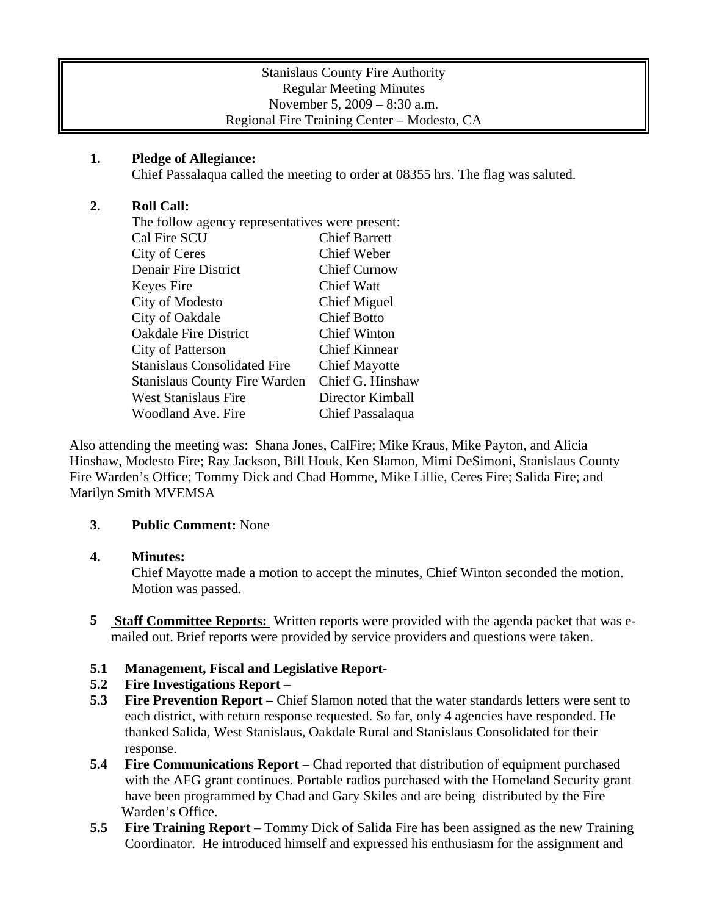## **1. Pledge of Allegiance:**

Chief Passalaqua called the meeting to order at 08355 hrs. The flag was saluted.

# **2. Roll Call:**

| The follow agency representatives were present: |                      |
|-------------------------------------------------|----------------------|
| Cal Fire SCU                                    | <b>Chief Barrett</b> |
| City of Ceres                                   | <b>Chief Weber</b>   |
| <b>Denair Fire District</b>                     | <b>Chief Curnow</b>  |
| Keyes Fire                                      | <b>Chief Watt</b>    |
| City of Modesto                                 | Chief Miguel         |
| City of Oakdale                                 | <b>Chief Botto</b>   |
| <b>Oakdale Fire District</b>                    | <b>Chief Winton</b>  |
| <b>City of Patterson</b>                        | <b>Chief Kinnear</b> |
| <b>Stanislaus Consolidated Fire</b>             | <b>Chief Mayotte</b> |
| <b>Stanislaus County Fire Warden</b>            | Chief G. Hinshaw     |
| West Stanislaus Fire                            | Director Kimball     |
| Woodland Ave. Fire                              | Chief Passalaqua     |
|                                                 |                      |

Also attending the meeting was: Shana Jones, CalFire; Mike Kraus, Mike Payton, and Alicia Hinshaw, Modesto Fire; Ray Jackson, Bill Houk, Ken Slamon, Mimi DeSimoni, Stanislaus County Fire Warden's Office; Tommy Dick and Chad Homme, Mike Lillie, Ceres Fire; Salida Fire; and Marilyn Smith MVEMSA

# **3. Public Comment:** None

## **4. Minutes:**

Chief Mayotte made a motion to accept the minutes, Chief Winton seconded the motion. Motion was passed.

**5** Staff Committee Reports: Written reports were provided with the agenda packet that was emailed out. Brief reports were provided by service providers and questions were taken.

# **5.1 Management, Fiscal and Legislative Report-**

## **5.2 Fire Investigations Report** –

- **5.3 Fire Prevention Report** Chief Slamon noted that the water standards letters were sent to each district, with return response requested. So far, only 4 agencies have responded. He thanked Salida, West Stanislaus, Oakdale Rural and Stanislaus Consolidated for their response.
- **5.4 Fire Communications Report** Chad reported that distribution of equipment purchased with the AFG grant continues. Portable radios purchased with the Homeland Security grant have been programmed by Chad and Gary Skiles and are being distributed by the Fire Warden's Office.
- **5.5 Fire Training Report**  Tommy Dick of Salida Fire has been assigned as the new Training Coordinator. He introduced himself and expressed his enthusiasm for the assignment and